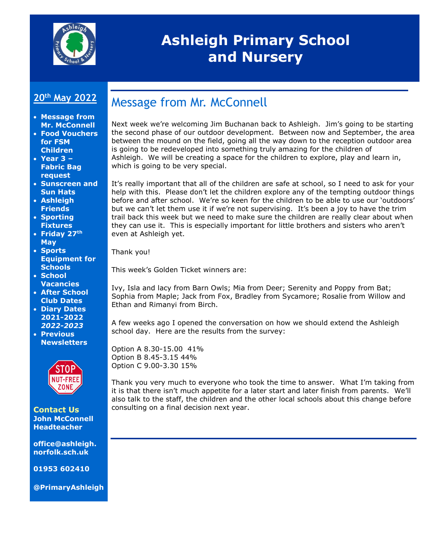

# **Ashleigh Primary School and Nursery**

#### **20th May 2022**

- **Message from Mr. McConnell**
- **Food Vouchers for FSM Children**
- **Year 3 – Fabric Bag request**
- **Sunscreen and Sun Hats**
- **Ashleigh Friends**
- **Sporting Fixtures**
- **Friday 27th May**
- **Sports Equipment for Schools**
- **School Vacancies**
- **After School Club Dates**
- **Diary Dates 2021-2022** *2022-2023*
- **Previous Newsletters**



**Contact Us John McConnell Headteacher**

**office@ashleigh. norfolk.sch.uk**

**01953 602410**

**@PrimaryAshleigh**

# Message from Mr. McConnell

Next week we're welcoming Jim Buchanan back to Ashleigh. Jim's going to be starting the second phase of our outdoor development. Between now and September, the area between the mound on the field, going all the way down to the reception outdoor area is going to be redeveloped into something truly amazing for the children of Ashleigh. We will be creating a space for the children to explore, play and learn in, which is going to be very special.

It's really important that all of the children are safe at school, so I need to ask for your help with this. Please don't let the children explore any of the tempting outdoor things before and after school. We're so keen for the children to be able to use our 'outdoors' but we can't let them use it if we're not supervising. It's been a joy to have the trim trail back this week but we need to make sure the children are really clear about when they can use it. This is especially important for little brothers and sisters who aren't even at Ashleigh yet.

Thank you!

This week's Golden Ticket winners are:

Ivy, Isla and lacy from Barn Owls; Mia from Deer; Serenity and Poppy from Bat; Sophia from Maple; Jack from Fox, Bradley from Sycamore; Rosalie from Willow and Ethan and Rimanyi from Birch.

A few weeks ago I opened the conversation on how we should extend the Ashleigh school day. Here are the results from the survey:

Option A 8.30-15.00 41% Option B 8.45-3.15 44% Option C 9.00-3.30 15%

Thank you very much to everyone who took the time to answer. What I'm taking from it is that there isn't much appetite for a later start and later finish from parents. We'll also talk to the staff, the children and the other local schools about this change before consulting on a final decision next year.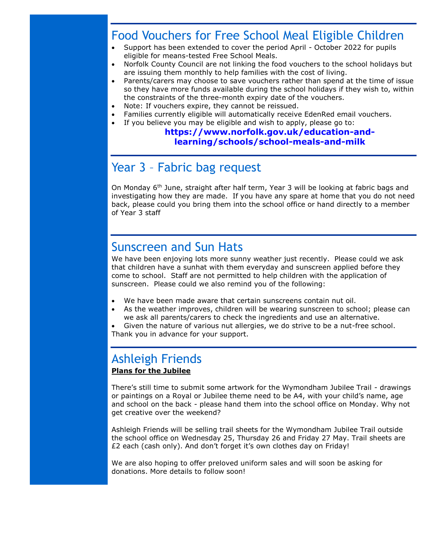## Food Vouchers for Free School Meal Eligible Children

- Support has been extended to cover the period April October 2022 for pupils eligible for means-tested Free School Meals.
- Norfolk County Council are not linking the food vouchers to the school holidays but are issuing them monthly to help families with the cost of living.
- Parents/carers may choose to save vouchers rather than spend at the time of issue so they have more funds available during the school holidays if they wish to, within the constraints of the three-month expiry date of the vouchers.
- Note: If vouchers expire, they cannot be reissued.
- Families currently eligible will automatically receive EdenRed email vouchers.
- If you believe you may be eligible and wish to apply, please go to: **[https://www.norfolk.gov.uk/education-and-](https://www.norfolk.gov.uk/education-and-learning/schools/school-meals-and-milk)**

#### **[learning/schools/school-meals-and-milk](https://www.norfolk.gov.uk/education-and-learning/schools/school-meals-and-milk)**

# Year 3 – Fabric bag request

On Monday 6th June, straight after half term, Year 3 will be looking at fabric bags and investigating how they are made. If you have any spare at home that you do not need back, please could you bring them into the school office or hand directly to a member of Year 3 staff

#### Sunscreen and Sun Hats

We have been enjoying lots more sunny weather just recently. Please could we ask that children have a sunhat with them everyday and sunscreen applied before they come to school. Staff are not permitted to help children with the application of sunscreen. Please could we also remind you of the following:

- We have been made aware that certain sunscreens contain nut oil.
- As the weather improves, children will be wearing sunscreen to school; please can we ask all parents/carers to check the ingredients and use an alternative.
- Given the nature of various nut allergies, we do strive to be a nut-free school. Thank you in advance for your support.

#### Ashleigh Friends **Plans for the Jubilee**

There's still time to submit some artwork for the Wymondham Jubilee Trail - drawings or paintings on a Royal or Jubilee theme need to be A4, with your child's name, age and school on the back - please hand them into the school office on Monday. Why not get creative over the weekend?

Ashleigh Friends will be selling trail sheets for the Wymondham Jubilee Trail outside the school office on Wednesday 25, Thursday 26 and Friday 27 May. Trail sheets are £2 each (cash only). And don't forget it's own clothes day on Friday!

We are also hoping to offer preloved uniform sales and will soon be asking for donations. More details to follow soon!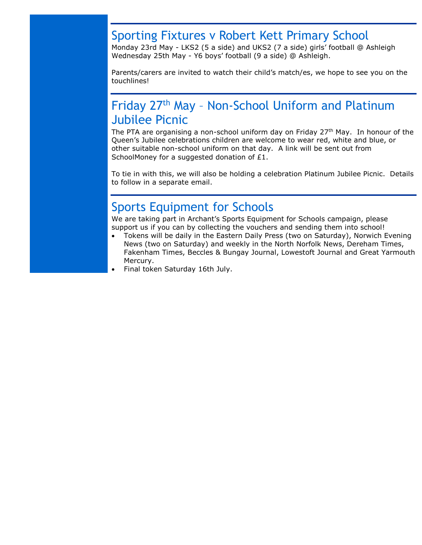#### Sporting Fixtures v Robert Kett Primary School

Monday 23rd May - LKS2 (5 a side) and UKS2 (7 a side) girls' football @ Ashleigh Wednesday 25th May - Y6 boys' football (9 a side) @ Ashleigh.

Parents/carers are invited to watch their child's match/es, we hope to see you on the touchlines!

# Friday 27th May – Non-School Uniform and Platinum Jubilee Picnic

The PTA are organising a non-school uniform day on Friday 27<sup>th</sup> May. In honour of the Queen's Jubilee celebrations children are welcome to wear red, white and blue, or other suitable non-school uniform on that day. A link will be sent out from SchoolMoney for a suggested donation of £1.

To tie in with this, we will also be holding a celebration Platinum Jubilee Picnic. Details to follow in a separate email.

### Sports Equipment for Schools

We are taking part in Archant's Sports Equipment for Schools campaign, please support us if you can by collecting the vouchers and sending them into school!

- Tokens will be daily in the Eastern Daily Press (two on Saturday), Norwich Evening News (two on Saturday) and weekly in the North Norfolk News, Dereham Times, Fakenham Times, Beccles & Bungay Journal, Lowestoft Journal and Great Yarmouth Mercury.
- Final token Saturday 16th July.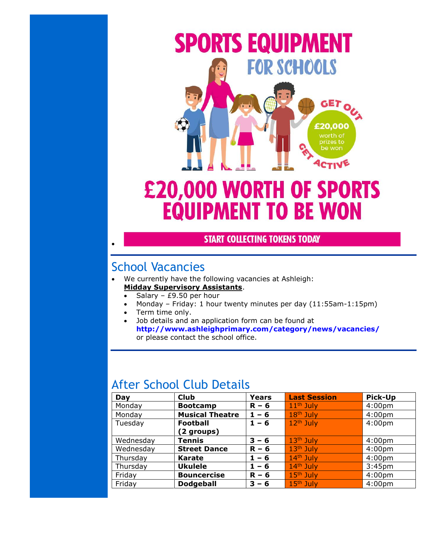

# **£20,000 WORTH OF SPORTS EQUIPMENT TO BE WON**

#### **START COLLECTING TOKENS TODAY**

# School Vacancies

 $\bullet$ 

- We currently have the following vacancies at Ashleigh: **Midday Supervisory Assistants**.
	- Salary £9.50 per hour
	- Monday Friday: 1 hour twenty minutes per day (11:55am-1:15pm)
	- Term time only.
	- Job details and an application form can be found at **<http://www.ashleighprimary.com/category/news/vacancies/>** or please contact the school office.

## After School Club Details

| Day       | <b>Club</b>            | <b>Years</b> | <b>Last Session</b> | <b>Pick-Up</b>     |
|-----------|------------------------|--------------|---------------------|--------------------|
| Monday    | <b>Bootcamp</b>        | $R - 6$      | $11th$ July         | 4:00 <sub>pm</sub> |
| Monday    | <b>Musical Theatre</b> | $1 - 6$      | $18th$ July         | 4:00 <sub>pm</sub> |
| Tuesday   | <b>Football</b>        | $1 - 6$      | $12th$ July         | 4:00 <sub>pm</sub> |
|           | (2 groups)             |              |                     |                    |
| Wednesday | Tennis                 | $3 - 6$      | $13th$ July         | 4:00 <sub>pm</sub> |
| Wednesday | <b>Street Dance</b>    | $R - 6$      | $13th$ July         | 4:00 <sub>pm</sub> |
| Thursday  | <b>Karate</b>          | $1 - 6$      | $14th$ July         | 4:00 <sub>pm</sub> |
| Thursday  | <b>Ukulele</b>         | $1 - 6$      | $14th$ July         | 3:45 <sub>pm</sub> |
| Friday    | <b>Bouncercise</b>     | $R - 6$      | $15th$ July         | 4:00 <sub>pm</sub> |
| Friday    | <b>Dodgeball</b>       | $3 - 6$      | $15th$ July         | 4:00 <sub>pm</sub> |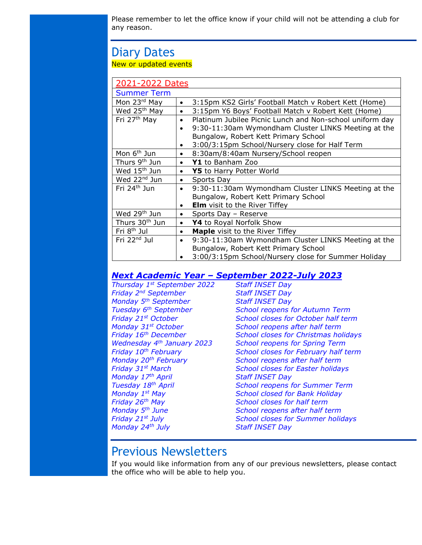Please remember to let the office know if your child will not be attending a club for any reason.

# Diary Dates

New or updated events

| 2021-2022 Dates            |                                                                       |  |  |
|----------------------------|-----------------------------------------------------------------------|--|--|
| <b>Summer Term</b>         |                                                                       |  |  |
| Mon 23rd May               | 3:15pm KS2 Girls' Football Match v Robert Kett (Home)<br>$\bullet$    |  |  |
| Wed 25 <sup>th</sup> May   | 3:15pm Y6 Boys' Football Match v Robert Kett (Home)<br>$\bullet$      |  |  |
| Fri 27 <sup>th</sup> May   | Platinum Jubilee Picnic Lunch and Non-school uniform day<br>$\bullet$ |  |  |
|                            | 9:30-11:30am Wymondham Cluster LINKS Meeting at the                   |  |  |
|                            | Bungalow, Robert Kett Primary School                                  |  |  |
|                            | 3:00/3:15pm School/Nursery close for Half Term<br>$\bullet$           |  |  |
| Mon 6 <sup>th</sup> Jun    | 8:30am/8:40am Nursery/School reopen<br>$\bullet$                      |  |  |
| Thurs 9 <sup>th</sup> Jun  | Y1 to Banham Zoo<br>$\bullet$                                         |  |  |
| Wed 15 <sup>th</sup> Jun   | Y5 to Harry Potter World<br>$\bullet$                                 |  |  |
| Wed 22 <sup>nd</sup> Jun   | Sports Day<br>$\bullet$                                               |  |  |
| Fri 24 <sup>th</sup> Jun   | 9:30-11:30am Wymondham Cluster LINKS Meeting at the<br>$\bullet$      |  |  |
|                            | Bungalow, Robert Kett Primary School                                  |  |  |
|                            | <b>Elm</b> visit to the River Tiffey<br>$\bullet$                     |  |  |
| Wed 29 <sup>th</sup> Jun   | Sports Day - Reserve<br>$\bullet$                                     |  |  |
| Thurs 30 <sup>th</sup> Jun | Y4 to Royal Norfolk Show<br>$\bullet$                                 |  |  |
| Fri 8 <sup>th</sup> Jul    | <b>Maple</b> visit to the River Tiffey<br>$\bullet$                   |  |  |
| Fri 22 <sup>nd</sup> Jul   | 9:30-11:30am Wymondham Cluster LINKS Meeting at the<br>$\bullet$      |  |  |
|                            | Bungalow, Robert Kett Primary School                                  |  |  |
|                            | 3:00/3:15pm School/Nursery close for Summer Holiday                   |  |  |

#### *Next Academic Year – September 2022-July 2023*

*Thursday 1st September 2022 Staff INSET Day Friday 2nd September Staff INSET Day Monday 5th September Staff INSET Day Monday 17th April Staff INSET Day Friday 26th May School closes for half term Monday 24th July Staff INSET Day*

*Tuesday 6th September School reopens for Autumn Term Friday 21st October School closes for October half term Monday 31st October School reopens after half term Friday 16th December School closes for Christmas holidays Wednesday 4th January 2023 School reopens for Spring Term Friday 10th February School closes for February half term Monday 20th February School reopens after half term Friday 31st March School closes for Easter holidays Tuesday 18th April School reopens for Summer Term Monday 1st May School closed for Bank Holiday Monday 5th June School reopens after half term Friday 21st July School closes for Summer holidays*

#### Previous Newsletters

If you would like information from any of our previous newsletters, please contact the office who will be able to help you.